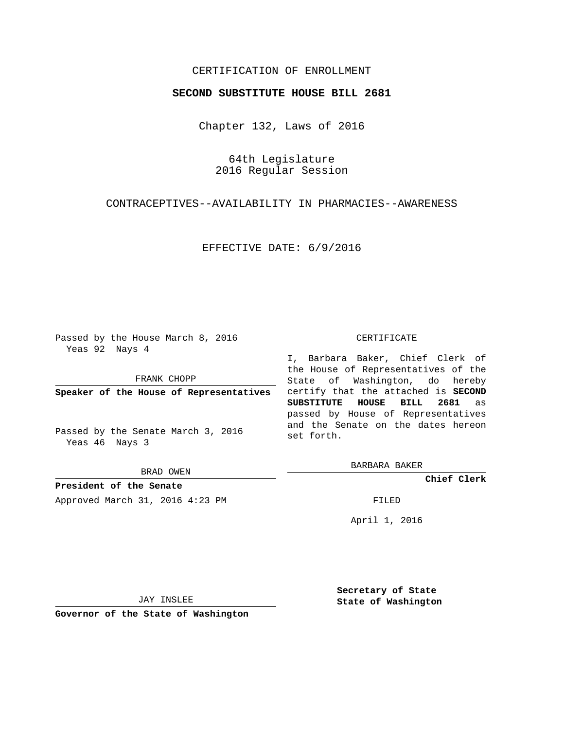# CERTIFICATION OF ENROLLMENT

### **SECOND SUBSTITUTE HOUSE BILL 2681**

Chapter 132, Laws of 2016

64th Legislature 2016 Regular Session

CONTRACEPTIVES--AVAILABILITY IN PHARMACIES--AWARENESS

EFFECTIVE DATE: 6/9/2016

Passed by the House March 8, 2016 Yeas 92 Nays 4

FRANK CHOPP

**Speaker of the House of Representatives**

Passed by the Senate March 3, 2016 Yeas 46 Nays 3

BRAD OWEN

**President of the Senate** Approved March 31, 2016 4:23 PM FILED

#### CERTIFICATE

I, Barbara Baker, Chief Clerk of the House of Representatives of the State of Washington, do hereby certify that the attached is **SECOND SUBSTITUTE HOUSE BILL 2681** as passed by House of Representatives and the Senate on the dates hereon set forth.

BARBARA BAKER

**Chief Clerk**

April 1, 2016

JAY INSLEE

**Governor of the State of Washington**

**Secretary of State State of Washington**